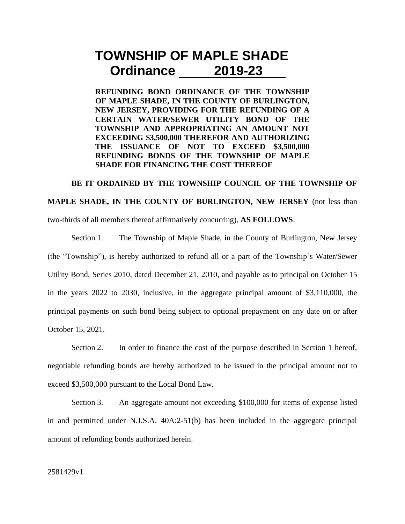# **TOWNSHIP OF MAPLE SHADE Ordinance 2019-23**

**REFUNDING BOND ORDINANCE OF THE TOWNSHIP OF MAPLE SHADE, IN THE COUNTY OF BURLINGTON, NEW JERSEY, PROVIDING FOR THE REFUNDING OF A CERTAIN WATER/SEWER UTILITY BOND OF THE TOWNSHIP AND APPROPRIATING AN AMOUNT NOT EXCEEDING \$3,500,000 THEREFOR AND AUTHORIZING THE ISSUANCE OF NOT TO EXCEED \$3,500,000 REFUNDING BONDS OF THE TOWNSHIP OF MAPLE SHADE FOR FINANCING THE COST THEREOF** 

## **BE IT ORDAINED BY THE TOWNSHIP COUNCIL OF THE TOWNSHIP OF MAPLE SHADE, IN THE COUNTY OF BURLINGTON, NEW JERSEY** (not less than

two-thirds of all members thereof affirmatively concurring), **AS FOLLOWS**:

Section 1. The Township of Maple Shade, in the County of Burlington, New Jersey (the "Township"), is hereby authorized to refund all or a part of the Township's Water/Sewer Utility Bond, Series 2010, dated December 21, 2010, and payable as to principal on October 15 in the years 2022 to 2030, inclusive, in the aggregate principal amount of \$3,110,000, the principal payments on such bond being subject to optional prepayment on any date on or after October 15, 2021.

Section 2. In order to finance the cost of the purpose described in Section 1 hereof, negotiable refunding bonds are hereby authorized to be issued in the principal amount not to exceed \$3,500,000 pursuant to the Local Bond Law.

Section 3. An aggregate amount not exceeding \$100,000 for items of expense listed in and permitted under N.J.S.A. 40A:2-51(b) has been included in the aggregate principal amount of refunding bonds authorized herein.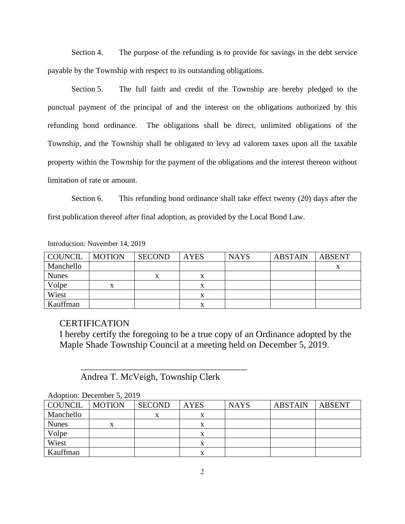Section 4. The purpose of the refunding is to provide for savings in the debt service payable by the Township with respect to its outstanding obligations.

Section 5. The full faith and credit of the Township are hereby pledged to the punctual payment of the principal of and the interest on the obligations authorized by this refunding bond ordinance. The obligations shall be direct, unlimited obligations of the Township, and the Township shall be obligated to levy ad valorem taxes upon all the taxable property within the Township for the payment of the obligations and the interest thereon without limitation of rate or amount.

Section 6. This refunding bond ordinance shall take effect twenty (20) days after the first publication thereof after final adoption, as provided by the Local Bond Law.

| <b>COUNCIL</b> | <b>MOTION</b> | <b>SECOND</b> | <b>AYES</b> | <b>NAYS</b> | <b>ABSTAIN</b> | <b>ABSENT</b> |
|----------------|---------------|---------------|-------------|-------------|----------------|---------------|
| Manchello      |               |               |             |             |                |               |
| <b>Nunes</b>   |               | x             |             |             |                |               |
| Volpe          |               |               |             |             |                |               |
| Wiest          |               |               |             |             |                |               |
| Kauffman       |               |               |             |             |                |               |

Introduction: November 14, 2019

#### **CERTIFICATION**

I hereby certify the foregoing to be a true copy of an Ordinance adopted by the Maple Shade Township Council at a meeting held on December 5, 2019.

Andrea T. McVeigh, Township Clerk

 $\overline{\phantom{a}}$  ,  $\overline{\phantom{a}}$  ,  $\overline{\phantom{a}}$  ,  $\overline{\phantom{a}}$  ,  $\overline{\phantom{a}}$  ,  $\overline{\phantom{a}}$  ,  $\overline{\phantom{a}}$  ,  $\overline{\phantom{a}}$  ,  $\overline{\phantom{a}}$  ,  $\overline{\phantom{a}}$  ,  $\overline{\phantom{a}}$  ,  $\overline{\phantom{a}}$  ,  $\overline{\phantom{a}}$  ,  $\overline{\phantom{a}}$  ,  $\overline{\phantom{a}}$  ,  $\overline{\phantom{a}}$ 

| $1$ Republic December 9, $2017$ |        |               |             |             |                |               |  |  |  |  |
|---------------------------------|--------|---------------|-------------|-------------|----------------|---------------|--|--|--|--|
| COUNCIL                         | MOTION | <b>SECOND</b> | <b>AYES</b> | <b>NAYS</b> | <b>ABSTAIN</b> | <b>ABSENT</b> |  |  |  |  |
| Manchello                       |        | Δ             | л           |             |                |               |  |  |  |  |
| <b>Nunes</b>                    | X      |               |             |             |                |               |  |  |  |  |
| Volpe                           |        |               |             |             |                |               |  |  |  |  |
| Wiest                           |        |               |             |             |                |               |  |  |  |  |
| Kauffman                        |        |               |             |             |                |               |  |  |  |  |

Adoption: December 5, 2019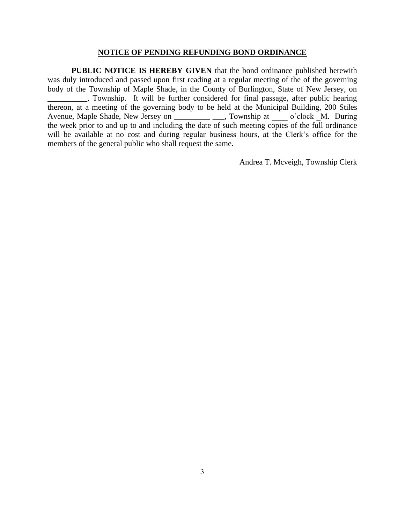#### **NOTICE OF PENDING REFUNDING BOND ORDINANCE**

**PUBLIC NOTICE IS HEREBY GIVEN** that the bond ordinance published herewith was duly introduced and passed upon first reading at a regular meeting of the of the governing body of the Township of Maple Shade, in the County of Burlington, State of New Jersey, on \_\_\_\_\_\_\_\_\_\_, Township. It will be further considered for final passage, after public hearing thereon, at a meeting of the governing body to be held at the Municipal Building, 200 Stiles Avenue, Maple Shade, New Jersey on \_\_\_\_\_\_\_\_\_ \_\_\_, Township at \_\_\_ o'clock \_M. During the week prior to and up to and including the date of such meeting copies of the full ordinance will be available at no cost and during regular business hours, at the Clerk's office for the members of the general public who shall request the same.

Andrea T. Mcveigh, Township Clerk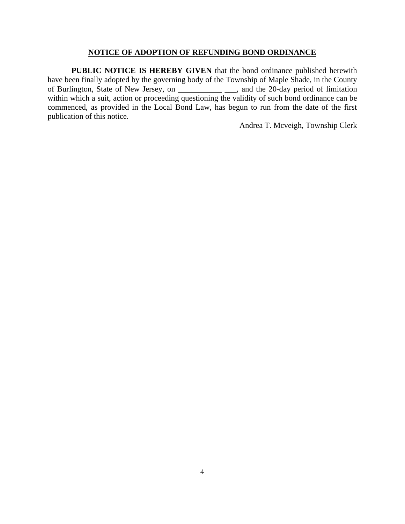#### **NOTICE OF ADOPTION OF REFUNDING BOND ORDINANCE**

**PUBLIC NOTICE IS HEREBY GIVEN** that the bond ordinance published herewith have been finally adopted by the governing body of the Township of Maple Shade, in the County of Burlington, State of New Jersey, on \_\_\_\_\_\_\_\_\_\_\_ \_\_\_, and the 20-day period of limitation within which a suit, action or proceeding questioning the validity of such bond ordinance can be commenced, as provided in the Local Bond Law, has begun to run from the date of the first publication of this notice.

Andrea T. Mcveigh, Township Clerk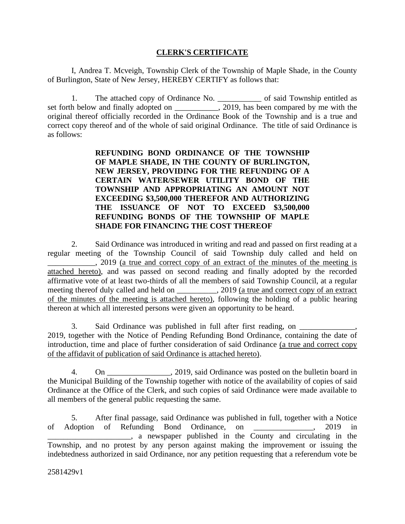## **CLERK'S CERTIFICATE**

I, Andrea T. Mcveigh, Township Clerk of the Township of Maple Shade, in the County of Burlington, State of New Jersey, HEREBY CERTIFY as follows that:

1. The attached copy of Ordinance No. \_\_\_\_\_\_\_\_\_\_\_ of said Township entitled as set forth below and finally adopted on \_\_\_\_\_\_\_\_\_, 2019, has been compared by me with the original thereof officially recorded in the Ordinance Book of the Township and is a true and correct copy thereof and of the whole of said original Ordinance. The title of said Ordinance is as follows:

## **REFUNDING BOND ORDINANCE OF THE TOWNSHIP OF MAPLE SHADE, IN THE COUNTY OF BURLINGTON, NEW JERSEY, PROVIDING FOR THE REFUNDING OF A CERTAIN WATER/SEWER UTILITY BOND OF THE TOWNSHIP AND APPROPRIATING AN AMOUNT NOT EXCEEDING \$3,500,000 THEREFOR AND AUTHORIZING THE ISSUANCE OF NOT TO EXCEED \$3,500,000 REFUNDING BONDS OF THE TOWNSHIP OF MAPLE SHADE FOR FINANCING THE COST THEREOF**

2. Said Ordinance was introduced in writing and read and passed on first reading at a regular meeting of the Township Council of said Township duly called and held on . 2019 (a true and correct copy of an extract of the minutes of the meeting is attached hereto), and was passed on second reading and finally adopted by the recorded affirmative vote of at least two-thirds of all the members of said Township Council, at a regular meeting thereof duly called and held on \_\_\_\_\_\_\_\_\_, 2019 <u>(a true and correct copy of an extract</u> of the minutes of the meeting is attached hereto), following the holding of a public hearing thereon at which all interested persons were given an opportunity to be heard.

3. Said Ordinance was published in full after first reading, on 2019, together with the Notice of Pending Refunding Bond Ordinance, containing the date of introduction, time and place of further consideration of said Ordinance (a true and correct copy of the affidavit of publication of said Ordinance is attached hereto).

4. On 2019, said Ordinance was posted on the bulletin board in the Municipal Building of the Township together with notice of the availability of copies of said Ordinance at the Office of the Clerk, and such copies of said Ordinance were made available to all members of the general public requesting the same.

5. After final passage, said Ordinance was published in full, together with a Notice of Adoption of Refunding Bond Ordinance, on  $\sim$  2019 in \_\_\_\_\_\_\_\_\_\_\_\_\_\_\_\_\_\_\_\_\_, a newspaper published in the County and circulating in the Township, and no protest by any person against making the improvement or issuing the indebtedness authorized in said Ordinance, nor any petition requesting that a referendum vote be

2581429v1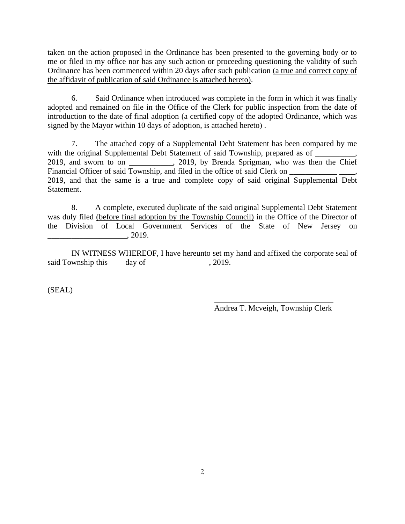taken on the action proposed in the Ordinance has been presented to the governing body or to me or filed in my office nor has any such action or proceeding questioning the validity of such Ordinance has been commenced within 20 days after such publication (a true and correct copy of the affidavit of publication of said Ordinance is attached hereto).

6. Said Ordinance when introduced was complete in the form in which it was finally adopted and remained on file in the Office of the Clerk for public inspection from the date of introduction to the date of final adoption (a certified copy of the adopted Ordinance, which was signed by the Mayor within 10 days of adoption, is attached hereto) .

7. The attached copy of a Supplemental Debt Statement has been compared by me with the original Supplemental Debt Statement of said Township, prepared as of \_\_\_\_\_\_\_\_, 2019, and sworn to on \_\_\_\_\_\_\_\_\_\_\_, 2019, by Brenda Sprigman, who was then the Chief Financial Officer of said Township, and filed in the office of said Clerk on \_\_\_\_\_\_\_\_\_\_\_\_\_\_\_\_\_\_\_\_\_\_\_\_\_\_\_\_\_, 2019, and that the same is a true and complete copy of said original Supplemental Debt Statement.

8. A complete, executed duplicate of the said original Supplemental Debt Statement was duly filed (before final adoption by the Township Council) in the Office of the Director of the Division of Local Government Services of the State of New Jersey on  $, 2019.$ 

IN WITNESS WHEREOF, I have hereunto set my hand and affixed the corporate seal of said Township this day of , 2019.

(SEAL)

Andrea T. Mcveigh, Township Clerk